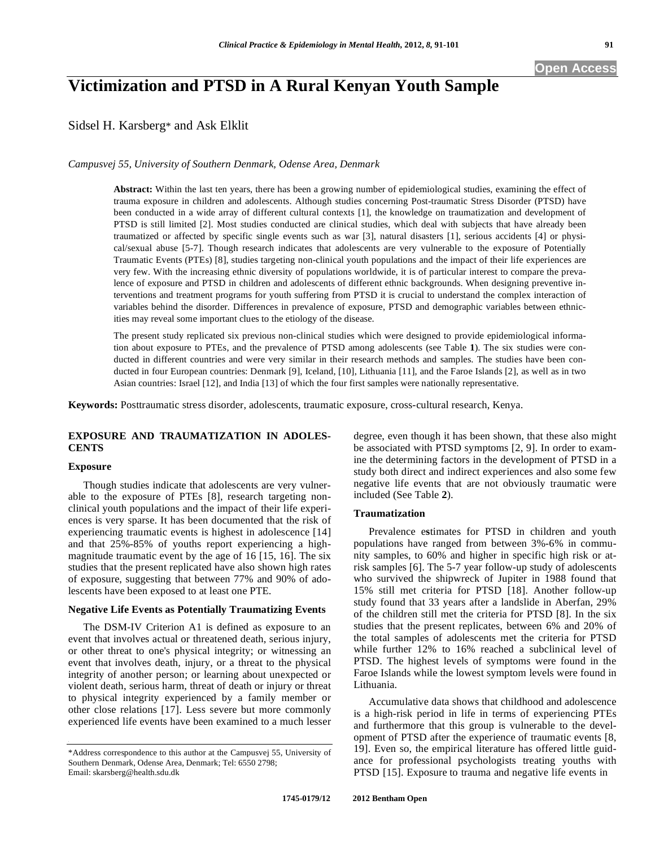# **Victimization and PTSD in A Rural Kenyan Youth Sample**

Sidsel H. Karsberg\* and Ask Elklit

*Campusvej 55, University of Southern Denmark, Odense Area, Denmark* 

**Abstract:** Within the last ten years, there has been a growing number of epidemiological studies, examining the effect of trauma exposure in children and adolescents. Although studies concerning Post-traumatic Stress Disorder (PTSD) have been conducted in a wide array of different cultural contexts [1], the knowledge on traumatization and development of PTSD is still limited [2]. Most studies conducted are clinical studies, which deal with subjects that have already been traumatized or affected by specific single events such as war [3], natural disasters [1], serious accidents [4] or physical/sexual abuse [5-7]. Though research indicates that adolescents are very vulnerable to the exposure of Potentially Traumatic Events (PTEs) [8], studies targeting non-clinical youth populations and the impact of their life experiences are very few. With the increasing ethnic diversity of populations worldwide, it is of particular interest to compare the prevalence of exposure and PTSD in children and adolescents of different ethnic backgrounds. When designing preventive interventions and treatment programs for youth suffering from PTSD it is crucial to understand the complex interaction of variables behind the disorder. Differences in prevalence of exposure, PTSD and demographic variables between ethnicities may reveal some important clues to the etiology of the disease.

The present study replicated six previous non-clinical studies which were designed to provide epidemiological information about exposure to PTEs, and the prevalence of PTSD among adolescents (see Table **1**). The six studies were conducted in different countries and were very similar in their research methods and samples. The studies have been conducted in four European countries: Denmark [9], Iceland, [10], Lithuania [11], and the Faroe Islands [2], as well as in two Asian countries: Israel [12], and India [13] of which the four first samples were nationally representative.

**Keywords:** Posttraumatic stress disorder, adolescents, traumatic exposure, cross-cultural research, Kenya.

# **EXPOSURE AND TRAUMATIZATION IN ADOLES-CENTS**

### **Exposure**

Though studies indicate that adolescents are very vulnerable to the exposure of PTEs [8], research targeting nonclinical youth populations and the impact of their life experiences is very sparse. It has been documented that the risk of experiencing traumatic events is highest in adolescence [14] and that 25%-85% of youths report experiencing a highmagnitude traumatic event by the age of 16 [15, 16]. The six studies that the present replicated have also shown high rates of exposure, suggesting that between 77% and 90% of adolescents have been exposed to at least one PTE.

# **Negative Life Events as Potentially Traumatizing Events**

The DSM-IV Criterion A1 is defined as exposure to an event that involves actual or threatened death, serious injury, or other threat to one's physical integrity; or witnessing an event that involves death, injury, or a threat to the physical integrity of another person; or learning about unexpected or violent death, serious harm, threat of death or injury or threat to physical integrity experienced by a family member or other close relations [17]. Less severe but more commonly experienced life events have been examined to a much lesser degree, even though it has been shown, that these also might be associated with PTSD symptoms [2, 9]. In order to examine the determining factors in the development of PTSD in a study both direct and indirect experiences and also some few negative life events that are not obviously traumatic were included (See Table **2**).

# **Traumatization**

Prevalence e**s**timates for PTSD in children and youth populations have ranged from between 3%-6% in community samples, to 60% and higher in specific high risk or atrisk samples [6]. The 5-7 year follow-up study of adolescents who survived the shipwreck of Jupiter in 1988 found that 15% still met criteria for PTSD [18]. Another follow-up study found that 33 years after a landslide in Aberfan, 29% of the children still met the criteria for PTSD [8]. In the six studies that the present replicates, between 6% and 20% of the total samples of adolescents met the criteria for PTSD while further 12% to 16% reached a subclinical level of PTSD. The highest levels of symptoms were found in the Faroe Islands while the lowest symptom levels were found in Lithuania.

Accumulative data shows that childhood and adolescence is a high-risk period in life in terms of experiencing PTEs and furthermore that this group is vulnerable to the development of PTSD after the experience of traumatic events [8, 19]. Even so, the empirical literature has offered little guidance for professional psychologists treating youths with PTSD [15]. Exposure to trauma and negative life events in

<sup>\*</sup>Address correspondence to this author at the Campusvej 55, University of Southern Denmark, Odense Area, Denmark; Tel: 6550 2798; Email: skarsberg@health.sdu.dk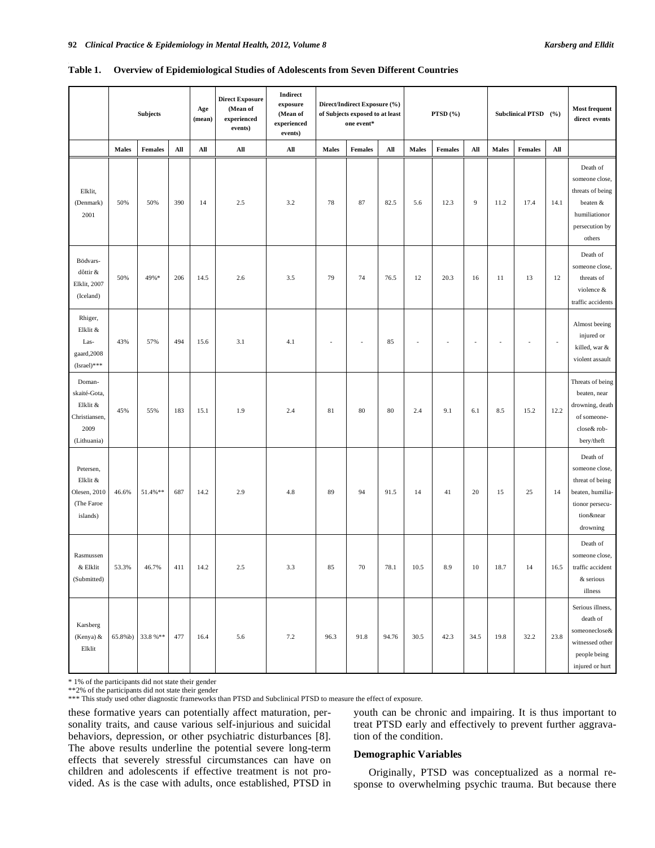|                                                                            | <b>Subjects</b> |                  |     | Age<br>(mean) | <b>Direct Exposure</b><br>(Mean of<br>experienced<br>events) | Indirect<br>exposure<br>(Mean of<br>experienced<br>events) | Direct/Indirect Exposure (%)<br>of Subjects exposed to at least<br>one event* |                | PTSD (%) |              |                | Subclinical PTSD (%) |              |                | <b>Most frequent</b><br>direct events |                                                                                                               |
|----------------------------------------------------------------------------|-----------------|------------------|-----|---------------|--------------------------------------------------------------|------------------------------------------------------------|-------------------------------------------------------------------------------|----------------|----------|--------------|----------------|----------------------|--------------|----------------|---------------------------------------|---------------------------------------------------------------------------------------------------------------|
|                                                                            | <b>Males</b>    | Females          | All | All           | All                                                          | $\mathbf{All}$                                             | <b>Males</b>                                                                  | <b>Females</b> | All      | <b>Males</b> | <b>Females</b> | All                  | <b>Males</b> | <b>Females</b> | All                                   |                                                                                                               |
| Elklit,<br>(Denmark)<br>2001                                               | 50%             | 50%              | 390 | 14            | 2.5                                                          | 3.2                                                        | 78                                                                            | 87             | 82.5     | 5.6          | 12.3           | $\overline{9}$       | 11.2         | 17.4           | 14.1                                  | Death of<br>someone close,<br>threats of being<br>beaten &<br>humiliationor<br>persecution by<br>others       |
| Bödvars-<br>dôttir &<br>Elklit, 2007<br>(Iceland)                          | 50%             | 49%*             | 206 | 14.5          | 2.6                                                          | 3.5                                                        | 79                                                                            | 74             | 76.5     | 12           | 20.3           | 16                   | 11           | 13             | 12                                    | Death of<br>someone close,<br>threats of<br>violence &<br>traffic accidents                                   |
| Rhiger,<br>Elklit &<br>Las-<br>gaard, 2008<br>$(Israel)***$                | 43%             | 57%              | 494 | 15.6          | 3.1                                                          | 4.1                                                        |                                                                               |                | 85       |              |                |                      |              |                | $\overline{\phantom{a}}$              | Almost beeing<br>injured or<br>killed, war &<br>violent assault                                               |
| Doman-<br>skaité-Gota,<br>Elklit &<br>Christiansen,<br>2009<br>(Lithuania) | 45%             | 55%              | 183 | 15.1          | 1.9                                                          | 2.4                                                        | 81                                                                            | 80             | $80\,$   | 2.4          | 9.1            | 6.1                  | 8.5          | 15.2           | 12.2                                  | Threats of being<br>beaten, near<br>drowning, death<br>of someone-<br>close& rob-<br>bery/theft               |
| Petersen,<br>Elklit &<br>Olesen, 2010<br>(The Faroe<br>islands)            | 46.6%           | 51.4%**          | 687 | 14.2          | 2.9                                                          | 4.8                                                        | 89                                                                            | 94             | 91.5     | 14           | 41             | 20                   | 15           | 25             | 14                                    | Death of<br>someone close,<br>threat of being<br>beaten, humilia-<br>tionor persecu-<br>tion&near<br>drowning |
| Rasmussen<br>& Elklit<br>(Submitted)                                       | 53.3%           | 46.7%            | 411 | 14.2          | 2.5                                                          | 3.3                                                        | 85                                                                            | 70             | 78.1     | 10.5         | 8.9            | 10                   | 18.7         | 14             | 16.5                                  | Death of<br>someone close,<br>traffic accident<br>& serious<br>illness                                        |
| Karsberg<br>(Kenya) &<br>Elklit                                            |                 | 65.8%b) 33.8 %** | 477 | 16.4          | 5.6                                                          | 7.2                                                        | 96.3                                                                          | 91.8           | 94.76    | 30.5         | 42.3           | 34.5                 | 19.8         | 32.2           | 23.8                                  | Serious illness,<br>death of<br>someoneclose&<br>witnessed other<br>people being<br>injured or hurt           |

|  |  |  |  |  | Table 1. Overview of Epidemiological Studies of Adolescents from Seven Different Countries |
|--|--|--|--|--|--------------------------------------------------------------------------------------------|
|--|--|--|--|--|--------------------------------------------------------------------------------------------|

\* 1% of the participants did not state their gender

\*\*2% of the participants did not state their gender \*\*\* This study used other diagnostic frameworks than PTSD and Subclinical PTSD to measure the effect of exposure.

these formative years can potentially affect maturation, personality traits, and cause various self-injurious and suicidal behaviors, depression, or other psychiatric disturbances [8]. The above results underline the potential severe long-term effects that severely stressful circumstances can have on children and adolescents if effective treatment is not provided. As is the case with adults, once established, PTSD in youth can be chronic and impairing. It is thus important to treat PTSD early and effectively to prevent further aggravation of the condition.

# **Demographic Variables**

Originally, PTSD was conceptualized as a normal response to overwhelming psychic trauma. But because there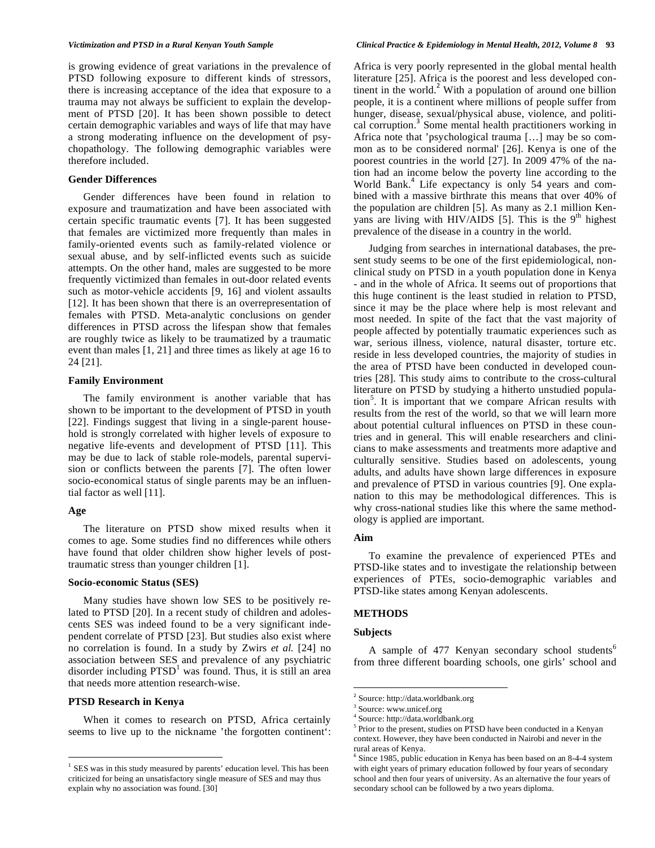is growing evidence of great variations in the prevalence of PTSD following exposure to different kinds of stressors, there is increasing acceptance of the idea that exposure to a trauma may not always be sufficient to explain the development of PTSD [20]. It has been shown possible to detect certain demographic variables and ways of life that may have a strong moderating influence on the development of psychopathology. The following demographic variables were therefore included.

# **Gender Differences**

Gender differences have been found in relation to exposure and traumatization and have been associated with certain specific traumatic events [7]. It has been suggested that females are victimized more frequently than males in family-oriented events such as family-related violence or sexual abuse, and by self-inflicted events such as suicide attempts. On the other hand, males are suggested to be more frequently victimized than females in out-door related events such as motor-vehicle accidents [9, 16] and violent assaults [12]. It has been shown that there is an overrepresentation of females with PTSD. Meta-analytic conclusions on gender differences in PTSD across the lifespan show that females are roughly twice as likely to be traumatized by a traumatic event than males [1, 21] and three times as likely at age 16 to 24 [21].

#### **Family Environment**

The family environment is another variable that has shown to be important to the development of PTSD in youth [22]. Findings suggest that living in a single-parent household is strongly correlated with higher levels of exposure to negative life-events and development of PTSD [11]. This may be due to lack of stable role-models, parental supervision or conflicts between the parents [7]. The often lower socio-economical status of single parents may be an influential factor as well [11].

# **Age**

 $\overline{a}$ 

The literature on PTSD show mixed results when it comes to age. Some studies find no differences while others have found that older children show higher levels of posttraumatic stress than younger children [1].

#### **Socio-economic Status (SES)**

Many studies have shown low SES to be positively related to PTSD [20]. In a recent study of children and adolescents SES was indeed found to be a very significant independent correlate of PTSD [23]. But studies also exist where no correlation is found. In a study by Zwirs *et al.* [24] no association between SES and prevalence of any psychiatric disorder including  $PTSD<sup>1</sup>$  was found. Thus, it is still an area that needs more attention research-wise.

# **PTSD Research in Kenya**

When it comes to research on PTSD, Africa certainly seems to live up to the nickname 'the forgotten continent': Africa is very poorly represented in the global mental health literature [25]. Africa is the poorest and less developed continent in the world.<sup>2</sup> With a population of around one billion people, it is a continent where millions of people suffer from hunger, disease, sexual/physical abuse, violence, and political corruption.<sup>3</sup> Some mental health practitioners working in Africa note that 'psychological trauma […] may be so common as to be considered normal' [26]. Kenya is one of the poorest countries in the world [27]. In 2009 47% of the nation had an income below the poverty line according to the World Bank.<sup>4</sup> Life expectancy is only 54 years and combined with a massive birthrate this means that over 40% of the population are children [5]. As many as 2.1 million Kenyans are living with HIV/AIDS [5]. This is the  $9<sup>th</sup>$  highest prevalence of the disease in a country in the world.

Judging from searches in international databases, the present study seems to be one of the first epidemiological, nonclinical study on PTSD in a youth population done in Kenya - and in the whole of Africa. It seems out of proportions that this huge continent is the least studied in relation to PTSD, since it may be the place where help is most relevant and most needed. In spite of the fact that the vast majority of people affected by potentially traumatic experiences such as war, serious illness, violence, natural disaster, torture etc. reside in less developed countries, the majority of studies in the area of PTSD have been conducted in developed countries [28]. This study aims to contribute to the cross-cultural literature on PTSD by studying a hitherto unstudied population<sup>5</sup>. It is important that we compare African results with results from the rest of the world, so that we will learn more about potential cultural influences on PTSD in these countries and in general. This will enable researchers and clinicians to make assessments and treatments more adaptive and culturally sensitive. Studies based on adolescents, young adults, and adults have shown large differences in exposure and prevalence of PTSD in various countries [9]. One explanation to this may be methodological differences. This is why cross-national studies like this where the same methodology is applied are important.

# **Aim**

To examine the prevalence of experienced PTEs and PTSD-like states and to investigate the relationship between experiences of PTEs, socio-demographic variables and PTSD-like states among Kenyan adolescents.

# **METHODS**

#### **Subjects**

1

A sample of 477 Kenyan secondary school students<sup>6</sup> from three different boarding schools, one girls' school and

 $1$  SES was in this study measured by parents' education level. This has been criticized for being an unsatisfactory single measure of SES and may thus explain why no association was found. [30]

<sup>&</sup>lt;sup>2</sup> Source: http://data.worldbank.org

<sup>3</sup> Source: www.unicef.org

<sup>4</sup> Source: http://data.worldbank.org

<sup>&</sup>lt;sup>5</sup> Prior to the present, studies on PTSD have been conducted in a Kenyan context. However, they have been conducted in Nairobi and never in the rural areas of Kenya.

 $6$  Since 1985, public education in Kenya has been based on an 8-4-4 system with eight years of primary education followed by four years of secondary school and then four years of university. As an alternative the four years of secondary school can be followed by a two years diploma.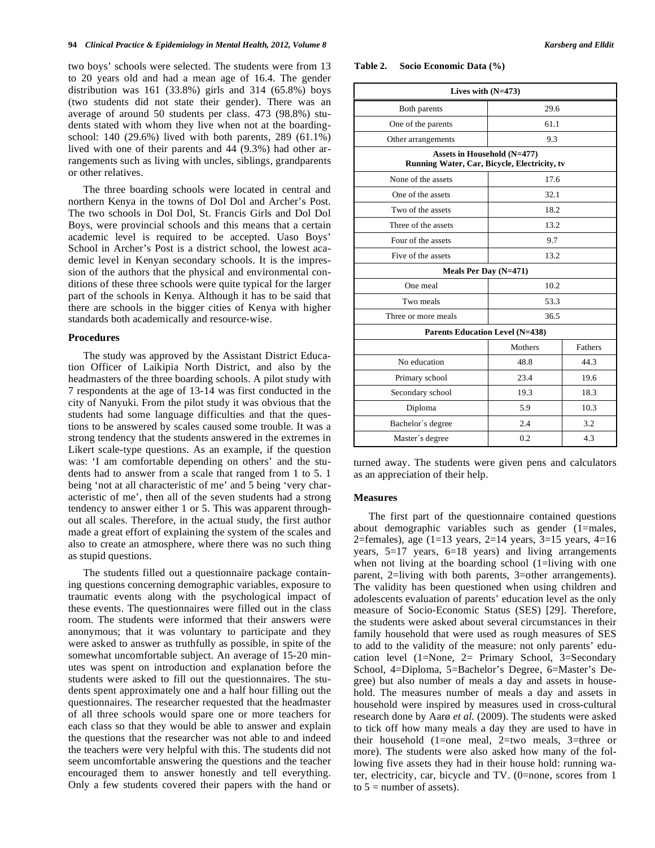two boys' schools were selected. The students were from 13 to 20 years old and had a mean age of 16.4. The gender distribution was  $161$  (33.8%) girls and 314 (65.8%) boys (two students did not state their gender). There was an average of around 50 students per class. 473 (98.8%) students stated with whom they live when not at the boardingschool: 140 (29.6%) lived with both parents, 289 (61.1%) lived with one of their parents and 44 (9.3%) had other arrangements such as living with uncles, siblings, grandparents or other relatives.

The three boarding schools were located in central and northern Kenya in the towns of Dol Dol and Archer's Post. The two schools in Dol Dol, St. Francis Girls and Dol Dol Boys, were provincial schools and this means that a certain academic level is required to be accepted. Uaso Boys' School in Archer's Post is a district school, the lowest academic level in Kenyan secondary schools. It is the impression of the authors that the physical and environmental conditions of these three schools were quite typical for the larger part of the schools in Kenya. Although it has to be said that there are schools in the bigger cities of Kenya with higher standards both academically and resource-wise.

#### **Procedures**

The study was approved by the Assistant District Education Officer of Laikipia North District, and also by the headmasters of the three boarding schools. A pilot study with 7 respondents at the age of 13-14 was first conducted in the city of Nanyuki. From the pilot study it was obvious that the students had some language difficulties and that the questions to be answered by scales caused some trouble. It was a strong tendency that the students answered in the extremes in Likert scale-type questions. As an example, if the question was: 'I am comfortable depending on others' and the students had to answer from a scale that ranged from 1 to 5. 1 being 'not at all characteristic of me' and 5 being 'very characteristic of me', then all of the seven students had a strong tendency to answer either 1 or 5. This was apparent throughout all scales. Therefore, in the actual study, the first author made a great effort of explaining the system of the scales and also to create an atmosphere, where there was no such thing as stupid questions.

The students filled out a questionnaire package containing questions concerning demographic variables, exposure to traumatic events along with the psychological impact of these events. The questionnaires were filled out in the class room. The students were informed that their answers were anonymous; that it was voluntary to participate and they were asked to answer as truthfully as possible, in spite of the somewhat uncomfortable subject. An average of 15-20 minutes was spent on introduction and explanation before the students were asked to fill out the questionnaires. The students spent approximately one and a half hour filling out the questionnaires. The researcher requested that the headmaster of all three schools would spare one or more teachers for each class so that they would be able to answer and explain the questions that the researcher was not able to and indeed the teachers were very helpful with this. The students did not seem uncomfortable answering the questions and the teacher encouraged them to answer honestly and tell everything. Only a few students covered their papers with the hand or **Table 2. Socio Economic Data (%)** 

|                                                                             | Lives with $(N=473)$ |         |  |  |  |  |  |
|-----------------------------------------------------------------------------|----------------------|---------|--|--|--|--|--|
| 29.6<br>Both parents                                                        |                      |         |  |  |  |  |  |
| One of the parents                                                          | 61.1                 |         |  |  |  |  |  |
| Other arrangements                                                          | 9.3                  |         |  |  |  |  |  |
| Assets in Household (N=477)<br>Running Water, Car, Bicycle, Electricity, tv |                      |         |  |  |  |  |  |
| None of the assets                                                          | 17.6                 |         |  |  |  |  |  |
| One of the assets                                                           |                      |         |  |  |  |  |  |
| Two of the assets                                                           | 18.2                 |         |  |  |  |  |  |
| Three of the assets                                                         | 13.2                 |         |  |  |  |  |  |
| Four of the assets                                                          | 9.7                  |         |  |  |  |  |  |
| Five of the assets                                                          | 13.2                 |         |  |  |  |  |  |
| Meals Per Day (N=471)                                                       |                      |         |  |  |  |  |  |
| One meal                                                                    | 10.2                 |         |  |  |  |  |  |
| Two meals                                                                   | 53.3                 |         |  |  |  |  |  |
| Three or more meals                                                         | 36.5                 |         |  |  |  |  |  |
| <b>Parents Education Level (N=438)</b>                                      |                      |         |  |  |  |  |  |
|                                                                             | Mothers              | Fathers |  |  |  |  |  |
| No education                                                                | 48.8                 | 44.3    |  |  |  |  |  |
| Primary school                                                              | 23.4                 | 19.6    |  |  |  |  |  |
| Secondary school                                                            | 19.3                 | 18.3    |  |  |  |  |  |
| Diploma                                                                     | 5.9                  | 10.3    |  |  |  |  |  |
| Bachelor's degree                                                           | 2.4                  | 3.2     |  |  |  |  |  |
| Master's degree                                                             | 0.2                  | 4.3     |  |  |  |  |  |

turned away. The students were given pens and calculators as an appreciation of their help.

#### **Measures**

The first part of the questionnaire contained questions about demographic variables such as gender (1=males, 2=females), age  $(1=13 \text{ years}, 2=14 \text{ years}, 3=15 \text{ years}, 4=16$ years, 5=17 years, 6=18 years) and living arrangements when not living at the boarding school (1=living with one parent, 2=living with both parents, 3=other arrangements). The validity has been questioned when using children and adolescents evaluation of parents' education level as the only measure of Socio-Economic Status (SES) [29]. Therefore, the students were asked about several circumstances in their family household that were used as rough measures of SES to add to the validity of the measure: not only parents' education level (1=None, 2= Primary School, 3=Secondary School, 4=Diploma, 5=Bachelor's Degree, 6=Master's Degree) but also number of meals a day and assets in household. The measures number of meals a day and assets in household were inspired by measures used in cross-cultural research done by Aarø *et al.* (2009). The students were asked to tick off how many meals a day they are used to have in their household (1=one meal, 2=two meals, 3=three or more). The students were also asked how many of the following five assets they had in their house hold: running water, electricity, car, bicycle and TV. (0=none, scores from 1 to  $5 =$  number of assets).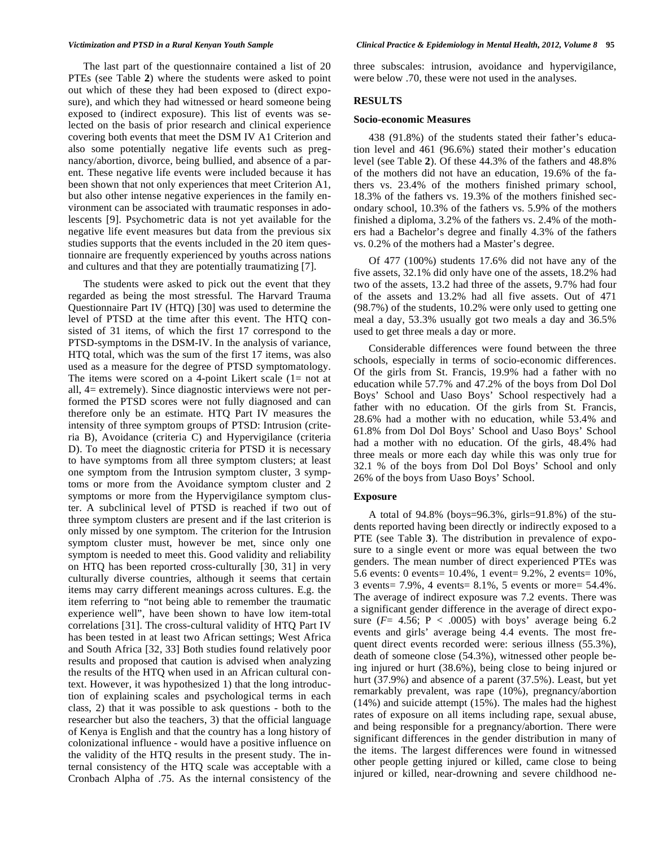The last part of the questionnaire contained a list of 20 PTEs (see Table **2**) where the students were asked to point out which of these they had been exposed to (direct exposure), and which they had witnessed or heard someone being exposed to (indirect exposure). This list of events was selected on the basis of prior research and clinical experience covering both events that meet the DSM IV A1 Criterion and also some potentially negative life events such as pregnancy/abortion, divorce, being bullied, and absence of a parent. These negative life events were included because it has been shown that not only experiences that meet Criterion A1, but also other intense negative experiences in the family environment can be associated with traumatic responses in adolescents [9]. Psychometric data is not yet available for the negative life event measures but data from the previous six studies supports that the events included in the 20 item questionnaire are frequently experienced by youths across nations and cultures and that they are potentially traumatizing [7].

The students were asked to pick out the event that they regarded as being the most stressful. The Harvard Trauma Questionnaire Part IV (HTQ) [30] was used to determine the level of PTSD at the time after this event. The HTQ consisted of 31 items, of which the first 17 correspond to the PTSD-symptoms in the DSM-IV. In the analysis of variance, HTQ total, which was the sum of the first 17 items, was also used as a measure for the degree of PTSD symptomatology. The items were scored on a 4-point Likert scale  $(1=$  not at all, 4= extremely). Since diagnostic interviews were not performed the PTSD scores were not fully diagnosed and can therefore only be an estimate. HTQ Part IV measures the intensity of three symptom groups of PTSD: Intrusion (criteria B), Avoidance (criteria C) and Hypervigilance (criteria D). To meet the diagnostic criteria for PTSD it is necessary to have symptoms from all three symptom clusters; at least one symptom from the Intrusion symptom cluster, 3 symptoms or more from the Avoidance symptom cluster and 2 symptoms or more from the Hypervigilance symptom cluster. A subclinical level of PTSD is reached if two out of three symptom clusters are present and if the last criterion is only missed by one symptom. The criterion for the Intrusion symptom cluster must, however be met, since only one symptom is needed to meet this. Good validity and reliability on HTQ has been reported cross-culturally [30, 31] in very culturally diverse countries, although it seems that certain items may carry different meanings across cultures. E.g. the item referring to "not being able to remember the traumatic experience well", have been shown to have low item-total correlations [31]. The cross-cultural validity of HTQ Part IV has been tested in at least two African settings; West Africa and South Africa [32, 33] Both studies found relatively poor results and proposed that caution is advised when analyzing the results of the HTQ when used in an African cultural context. However, it was hypothesized 1) that the long introduction of explaining scales and psychological terms in each class, 2) that it was possible to ask questions - both to the researcher but also the teachers, 3) that the official language of Kenya is English and that the country has a long history of colonizational influence - would have a positive influence on the validity of the HTQ results in the present study. The internal consistency of the HTQ scale was acceptable with a Cronbach Alpha of .75. As the internal consistency of the

three subscales: intrusion, avoidance and hypervigilance, were below .70, these were not used in the analyses.

# **RESULTS**

#### **Socio-economic Measures**

438 (91.8%) of the students stated their father's education level and 461 (96.6%) stated their mother's education level (see Table **2**). Of these 44.3% of the fathers and 48.8% of the mothers did not have an education, 19.6% of the fathers vs. 23.4% of the mothers finished primary school, 18.3% of the fathers vs. 19.3% of the mothers finished secondary school, 10.3% of the fathers vs. 5.9% of the mothers finished a diploma, 3.2% of the fathers vs. 2.4% of the mothers had a Bachelor's degree and finally 4.3% of the fathers vs. 0.2% of the mothers had a Master's degree.

Of 477 (100%) students 17.6% did not have any of the five assets, 32.1% did only have one of the assets, 18.2% had two of the assets, 13.2 had three of the assets, 9.7% had four of the assets and 13.2% had all five assets. Out of 471 (98.7%) of the students, 10.2% were only used to getting one meal a day, 53.3% usually got two meals a day and 36.5% used to get three meals a day or more.

Considerable differences were found between the three schools, especially in terms of socio-economic differences. Of the girls from St. Francis, 19.9% had a father with no education while 57.7% and 47.2% of the boys from Dol Dol Boys' School and Uaso Boys' School respectively had a father with no education. Of the girls from St. Francis, 28.6% had a mother with no education, while 53.4% and 61.8% from Dol Dol Boys' School and Uaso Boys' School had a mother with no education. Of the girls, 48.4% had three meals or more each day while this was only true for 32.1 % of the boys from Dol Dol Boys' School and only 26% of the boys from Uaso Boys' School.

#### **Exposure**

A total of 94.8% (boys=96.3%, girls=91.8%) of the students reported having been directly or indirectly exposed to a PTE (see Table **3**). The distribution in prevalence of exposure to a single event or more was equal between the two genders. The mean number of direct experienced PTEs was 5.6 events: 0 events= 10.4%, 1 event= 9.2%, 2 events= 10%, 3 events= 7.9%, 4 events= 8.1%, 5 events or more= 54.4%. The average of indirect exposure was 7.2 events. There was a significant gender difference in the average of direct exposure ( $F = 4.56$ ;  $P < .0005$ ) with boys' average being 6.2 events and girls' average being 4.4 events. The most frequent direct events recorded were: serious illness (55.3%), death of someone close (54.3%), witnessed other people being injured or hurt (38.6%), being close to being injured or hurt (37.9%) and absence of a parent (37.5%). Least, but yet remarkably prevalent, was rape (10%), pregnancy/abortion (14%) and suicide attempt (15%). The males had the highest rates of exposure on all items including rape, sexual abuse, and being responsible for a pregnancy/abortion. There were significant differences in the gender distribution in many of the items. The largest differences were found in witnessed other people getting injured or killed, came close to being injured or killed, near-drowning and severe childhood ne-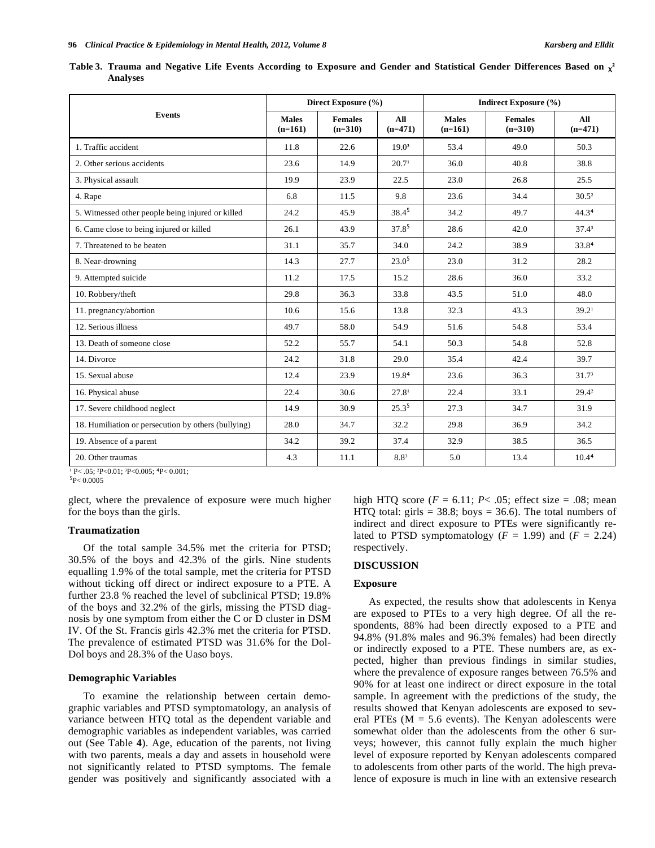|                 | Table 3. Trauma and Negative Life Events According to Exposure and Gender and Statistical Gender Differences Based on $\chi^2$ |  |  |  |  |  |  |
|-----------------|--------------------------------------------------------------------------------------------------------------------------------|--|--|--|--|--|--|
| <b>Analyses</b> |                                                                                                                                |  |  |  |  |  |  |

|                                                     |                           | Direct Exposure (%)         |                   | Indirect Exposure (%)     |                             |                   |  |  |
|-----------------------------------------------------|---------------------------|-----------------------------|-------------------|---------------------------|-----------------------------|-------------------|--|--|
| <b>Events</b>                                       | <b>Males</b><br>$(n=161)$ | <b>Females</b><br>$(n=310)$ | All<br>$(n=471)$  | <b>Males</b><br>$(n=161)$ | <b>Females</b><br>$(n=310)$ | AII<br>$(n=471)$  |  |  |
| 1. Traffic accident                                 | 11.8                      | 22.6                        | 19.0 <sup>3</sup> | 53.4                      | 49.0                        | 50.3              |  |  |
| 2. Other serious accidents                          | 23.6                      | 14.9                        | 20.7 <sup>1</sup> | 36.0                      | 40.8                        | 38.8              |  |  |
| 3. Physical assault                                 | 19.9                      | 23.9                        | 22.5              | 23.0                      | 26.8                        | 25.5              |  |  |
| 4. Rape                                             | 6.8                       | 11.5                        | 9.8               | 23.6                      | 34.4                        | $30.5^2$          |  |  |
| 5. Witnessed other people being injured or killed   | 24.2                      | 45.9                        | $38.4^{5}$        | 34.2                      | 49.7                        | 44.34             |  |  |
| 6. Came close to being injured or killed            | 26.1                      | 43.9                        | 37.85             | 28.6                      | 42.0                        | $37.4^3$          |  |  |
| 7. Threatened to be beaten                          | 31.1                      | 35.7                        | 34.0              | 24.2                      | 38.9                        | 33.84             |  |  |
| 8. Near-drowning                                    | 14.3                      | 27.7                        | 23.0 <sup>5</sup> | 23.0                      | 31.2                        | 28.2              |  |  |
| 9. Attempted suicide                                | 11.2                      | 17.5                        | 15.2              | 28.6                      | 36.0                        | 33.2              |  |  |
| 10. Robbery/theft                                   | 29.8                      | 36.3                        | 33.8              | 43.5                      | 51.0                        | 48.0              |  |  |
| 11. pregnancy/abortion                              | 10.6                      | 15.6                        | 13.8              | 32.3                      | 43.3                        | 39.2 <sup>1</sup> |  |  |
| 12. Serious illness                                 | 49.7                      | 58.0                        | 54.9              | 51.6                      | 54.8                        | 53.4              |  |  |
| 13. Death of someone close                          | 52.2                      | 55.7                        | 54.1              | 50.3                      | 54.8                        | 52.8              |  |  |
| 14. Divorce                                         | 24.2                      | 31.8                        | 29.0              | 35.4                      | 42.4                        | 39.7              |  |  |
| 15. Sexual abuse                                    | 12.4                      | 23.9                        | 19.84             | 23.6                      | 36.3                        | 31.7 <sup>3</sup> |  |  |
| 16. Physical abuse                                  | 22.4                      | 30.6                        | 27.8 <sup>1</sup> | 22.4                      | 33.1                        | $29.4^2$          |  |  |
| 17. Severe childhood neglect                        | 14.9                      | 30.9                        | $25.3^{5}$        | 27.3                      | 34.7                        | 31.9              |  |  |
| 18. Humiliation or persecution by others (bullying) | 28.0                      | 34.7                        | 32.2              | 29.8                      | 36.9                        | 34.2              |  |  |
| 19. Absence of a parent                             | 34.2                      | 39.2                        | 37.4              | 32.9                      | 38.5                        | 36.5              |  |  |
| 20. Other traumas                                   | 4.3                       | 11.1                        | 8.83              | 5.0                       | 13.4                        | 10.44             |  |  |

 $P < 0.05$ ;  $P < 0.01$ ;  $P < 0.005$ ;  $P < 0.001$ ;

 $\rm ^5P< 0.0005$ 

glect, where the prevalence of exposure were much higher for the boys than the girls.

#### **Traumatization**

Of the total sample 34.5% met the criteria for PTSD; 30.5% of the boys and 42.3% of the girls. Nine students equalling 1.9% of the total sample, met the criteria for PTSD without ticking off direct or indirect exposure to a PTE. A further 23.8 % reached the level of subclinical PTSD; 19.8% of the boys and 32.2% of the girls, missing the PTSD diagnosis by one symptom from either the C or D cluster in DSM IV. Of the St. Francis girls 42.3% met the criteria for PTSD. The prevalence of estimated PTSD was 31.6% for the Dol-Dol boys and 28.3% of the Uaso boys.

#### **Demographic Variables**

To examine the relationship between certain demographic variables and PTSD symptomatology, an analysis of variance between HTQ total as the dependent variable and demographic variables as independent variables, was carried out (See Table **4**). Age, education of the parents, not living with two parents, meals a day and assets in household were not significantly related to PTSD symptoms. The female gender was positively and significantly associated with a

high HTQ score  $(F = 6.11; P < .05;$  effect size = .08; mean HTQ total: girls =  $38.8$ ; boys =  $36.6$ ). The total numbers of indirect and direct exposure to PTEs were significantly related to PTSD symptomatology  $(F = 1.99)$  and  $(F = 2.24)$ respectively.

#### **DISCUSSION**

### **Exposure**

As expected, the results show that adolescents in Kenya are exposed to PTEs to a very high degree. Of all the respondents, 88% had been directly exposed to a PTE and 94.8% (91.8% males and 96.3% females) had been directly or indirectly exposed to a PTE. These numbers are, as expected, higher than previous findings in similar studies, where the prevalence of exposure ranges between 76.5% and 90% for at least one indirect or direct exposure in the total sample. In agreement with the predictions of the study, the results showed that Kenyan adolescents are exposed to several PTEs ( $M = 5.6$  events). The Kenyan adolescents were somewhat older than the adolescents from the other 6 surveys; however, this cannot fully explain the much higher level of exposure reported by Kenyan adolescents compared to adolescents from other parts of the world. The high prevalence of exposure is much in line with an extensive research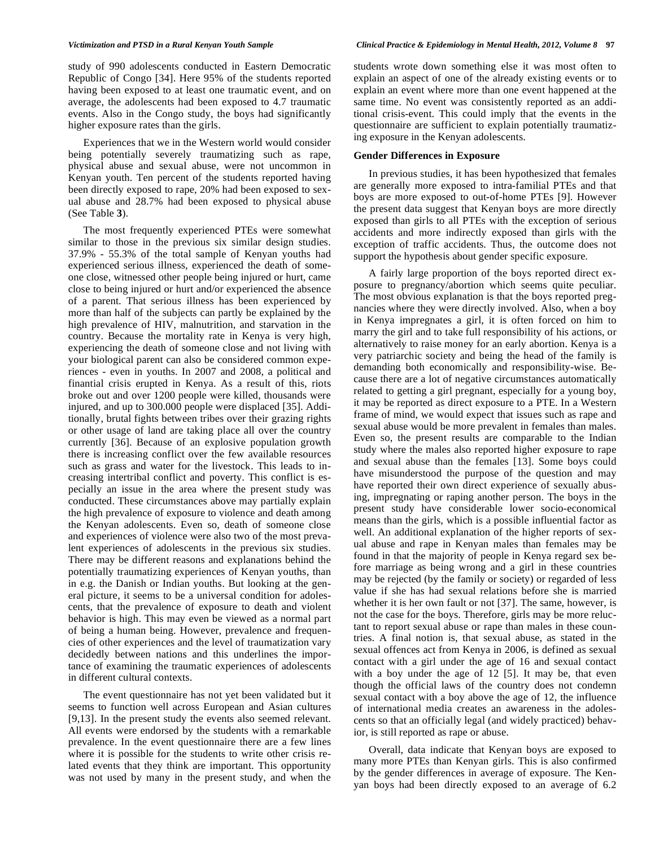study of 990 adolescents conducted in Eastern Democratic Republic of Congo [34]. Here 95% of the students reported having been exposed to at least one traumatic event, and on average, the adolescents had been exposed to 4.7 traumatic events. Also in the Congo study, the boys had significantly higher exposure rates than the girls.

Experiences that we in the Western world would consider being potentially severely traumatizing such as rape, physical abuse and sexual abuse, were not uncommon in Kenyan youth. Ten percent of the students reported having been directly exposed to rape, 20% had been exposed to sexual abuse and 28.7% had been exposed to physical abuse (See Table **3**).

The most frequently experienced PTEs were somewhat similar to those in the previous six similar design studies. 37.9% - 55.3% of the total sample of Kenyan youths had experienced serious illness, experienced the death of someone close, witnessed other people being injured or hurt, came close to being injured or hurt and/or experienced the absence of a parent. That serious illness has been experienced by more than half of the subjects can partly be explained by the high prevalence of HIV, malnutrition, and starvation in the country. Because the mortality rate in Kenya is very high, experiencing the death of someone close and not living with your biological parent can also be considered common experiences - even in youths. In 2007 and 2008, a political and finantial crisis erupted in Kenya. As a result of this, riots broke out and over 1200 people were killed, thousands were injured, and up to 300.000 people were displaced [35]. Additionally, brutal fights between tribes over their grazing rights or other usage of land are taking place all over the country currently [36]. Because of an explosive population growth there is increasing conflict over the few available resources such as grass and water for the livestock. This leads to increasing intertribal conflict and poverty. This conflict is especially an issue in the area where the present study was conducted. These circumstances above may partially explain the high prevalence of exposure to violence and death among the Kenyan adolescents. Even so, death of someone close and experiences of violence were also two of the most prevalent experiences of adolescents in the previous six studies. There may be different reasons and explanations behind the potentially traumatizing experiences of Kenyan youths, than in e.g. the Danish or Indian youths. But looking at the general picture, it seems to be a universal condition for adolescents, that the prevalence of exposure to death and violent behavior is high. This may even be viewed as a normal part of being a human being. However, prevalence and frequencies of other experiences and the level of traumatization vary decidedly between nations and this underlines the importance of examining the traumatic experiences of adolescents in different cultural contexts.

The event questionnaire has not yet been validated but it seems to function well across European and Asian cultures [9,13]. In the present study the events also seemed relevant. All events were endorsed by the students with a remarkable prevalence. In the event questionnaire there are a few lines where it is possible for the students to write other crisis related events that they think are important. This opportunity was not used by many in the present study, and when the

students wrote down something else it was most often to explain an aspect of one of the already existing events or to explain an event where more than one event happened at the same time. No event was consistently reported as an additional crisis-event. This could imply that the events in the questionnaire are sufficient to explain potentially traumatizing exposure in the Kenyan adolescents.

#### **Gender Differences in Exposure**

In previous studies, it has been hypothesized that females are generally more exposed to intra-familial PTEs and that boys are more exposed to out-of-home PTEs [9]. However the present data suggest that Kenyan boys are more directly exposed than girls to all PTEs with the exception of serious accidents and more indirectly exposed than girls with the exception of traffic accidents. Thus, the outcome does not support the hypothesis about gender specific exposure.

A fairly large proportion of the boys reported direct exposure to pregnancy/abortion which seems quite peculiar. The most obvious explanation is that the boys reported pregnancies where they were directly involved. Also, when a boy in Kenya impregnates a girl, it is often forced on him to marry the girl and to take full responsibility of his actions, or alternatively to raise money for an early abortion. Kenya is a very patriarchic society and being the head of the family is demanding both economically and responsibility-wise. Because there are a lot of negative circumstances automatically related to getting a girl pregnant, especially for a young boy, it may be reported as direct exposure to a PTE. In a Western frame of mind, we would expect that issues such as rape and sexual abuse would be more prevalent in females than males. Even so, the present results are comparable to the Indian study where the males also reported higher exposure to rape and sexual abuse than the females [13]. Some boys could have misunderstood the purpose of the question and may have reported their own direct experience of sexually abusing, impregnating or raping another person. The boys in the present study have considerable lower socio-economical means than the girls, which is a possible influential factor as well. An additional explanation of the higher reports of sexual abuse and rape in Kenyan males than females may be found in that the majority of people in Kenya regard sex before marriage as being wrong and a girl in these countries may be rejected (by the family or society) or regarded of less value if she has had sexual relations before she is married whether it is her own fault or not [37]. The same, however, is not the case for the boys. Therefore, girls may be more reluctant to report sexual abuse or rape than males in these countries. A final notion is, that sexual abuse, as stated in the sexual offences act from Kenya in 2006, is defined as sexual contact with a girl under the age of 16 and sexual contact with a boy under the age of 12 [5]. It may be, that even though the official laws of the country does not condemn sexual contact with a boy above the age of 12, the influence of international media creates an awareness in the adolescents so that an officially legal (and widely practiced) behavior, is still reported as rape or abuse.

Overall, data indicate that Kenyan boys are exposed to many more PTEs than Kenyan girls. This is also confirmed by the gender differences in average of exposure. The Kenyan boys had been directly exposed to an average of 6.2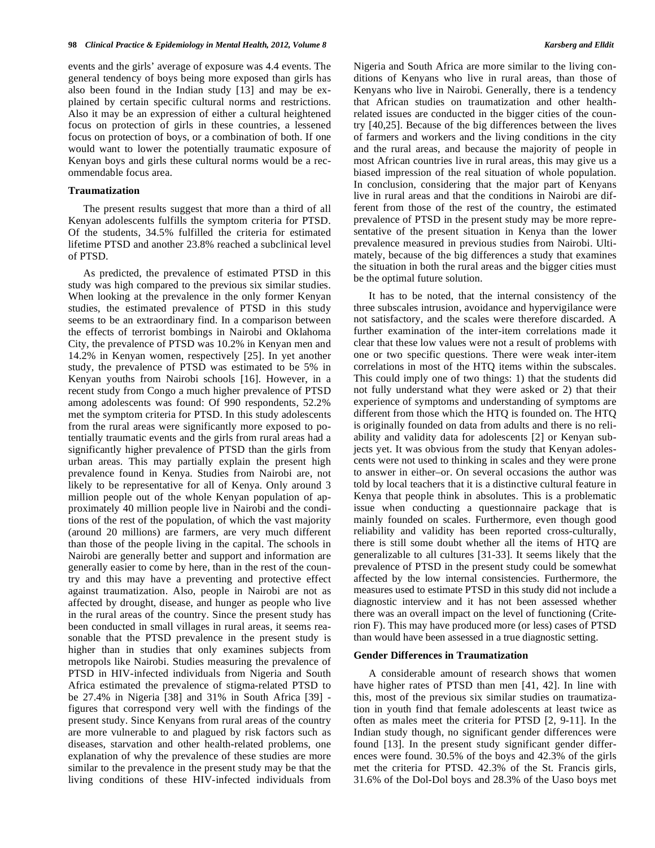events and the girls' average of exposure was 4.4 events. The general tendency of boys being more exposed than girls has also been found in the Indian study [13] and may be explained by certain specific cultural norms and restrictions. Also it may be an expression of either a cultural heightened focus on protection of girls in these countries, a lessened focus on protection of boys, or a combination of both. If one would want to lower the potentially traumatic exposure of Kenyan boys and girls these cultural norms would be a recommendable focus area.

#### **Traumatization**

The present results suggest that more than a third of all Kenyan adolescents fulfills the symptom criteria for PTSD. Of the students, 34.5% fulfilled the criteria for estimated lifetime PTSD and another 23.8% reached a subclinical level of PTSD.

As predicted, the prevalence of estimated PTSD in this study was high compared to the previous six similar studies. When looking at the prevalence in the only former Kenyan studies, the estimated prevalence of PTSD in this study seems to be an extraordinary find. In a comparison between the effects of terrorist bombings in Nairobi and Oklahoma City, the prevalence of PTSD was 10.2% in Kenyan men and 14.2% in Kenyan women, respectively [25]. In yet another study, the prevalence of PTSD was estimated to be 5% in Kenyan youths from Nairobi schools [16]. However, in a recent study from Congo a much higher prevalence of PTSD among adolescents was found: Of 990 respondents, 52.2% met the symptom criteria for PTSD. In this study adolescents from the rural areas were significantly more exposed to potentially traumatic events and the girls from rural areas had a significantly higher prevalence of PTSD than the girls from urban areas. This may partially explain the present high prevalence found in Kenya. Studies from Nairobi are, not likely to be representative for all of Kenya. Only around 3 million people out of the whole Kenyan population of approximately 40 million people live in Nairobi and the conditions of the rest of the population, of which the vast majority (around 20 millions) are farmers, are very much different than those of the people living in the capital. The schools in Nairobi are generally better and support and information are generally easier to come by here, than in the rest of the country and this may have a preventing and protective effect against traumatization. Also, people in Nairobi are not as affected by drought, disease, and hunger as people who live in the rural areas of the country. Since the present study has been conducted in small villages in rural areas, it seems reasonable that the PTSD prevalence in the present study is higher than in studies that only examines subjects from metropols like Nairobi. Studies measuring the prevalence of PTSD in HIV-infected individuals from Nigeria and South Africa estimated the prevalence of stigma-related PTSD to be 27.4% in Nigeria [38] and 31% in South Africa [39] figures that correspond very well with the findings of the present study. Since Kenyans from rural areas of the country are more vulnerable to and plagued by risk factors such as diseases, starvation and other health-related problems, one explanation of why the prevalence of these studies are more similar to the prevalence in the present study may be that the living conditions of these HIV-infected individuals from

Nigeria and South Africa are more similar to the living conditions of Kenyans who live in rural areas, than those of Kenyans who live in Nairobi. Generally, there is a tendency that African studies on traumatization and other healthrelated issues are conducted in the bigger cities of the country [40,25]. Because of the big differences between the lives of farmers and workers and the living conditions in the city and the rural areas, and because the majority of people in most African countries live in rural areas, this may give us a biased impression of the real situation of whole population. In conclusion, considering that the major part of Kenyans live in rural areas and that the conditions in Nairobi are different from those of the rest of the country, the estimated prevalence of PTSD in the present study may be more representative of the present situation in Kenya than the lower prevalence measured in previous studies from Nairobi. Ultimately, because of the big differences a study that examines the situation in both the rural areas and the bigger cities must be the optimal future solution.

It has to be noted, that the internal consistency of the three subscales intrusion, avoidance and hypervigilance were not satisfactory, and the scales were therefore discarded. A further examination of the inter-item correlations made it clear that these low values were not a result of problems with one or two specific questions. There were weak inter-item correlations in most of the HTQ items within the subscales. This could imply one of two things: 1) that the students did not fully understand what they were asked or 2) that their experience of symptoms and understanding of symptoms are different from those which the HTQ is founded on. The HTQ is originally founded on data from adults and there is no reliability and validity data for adolescents [2] or Kenyan subjects yet. It was obvious from the study that Kenyan adolescents were not used to thinking in scales and they were prone to answer in either–or. On several occasions the author was told by local teachers that it is a distinctive cultural feature in Kenya that people think in absolutes. This is a problematic issue when conducting a questionnaire package that is mainly founded on scales. Furthermore, even though good reliability and validity has been reported cross-culturally, there is still some doubt whether all the items of HTQ are generalizable to all cultures [31-33]. It seems likely that the prevalence of PTSD in the present study could be somewhat affected by the low internal consistencies. Furthermore, the measures used to estimate PTSD in this study did not include a diagnostic interview and it has not been assessed whether there was an overall impact on the level of functioning (Criterion F). This may have produced more (or less) cases of PTSD than would have been assessed in a true diagnostic setting.

#### **Gender Differences in Traumatization**

A considerable amount of research shows that women have higher rates of PTSD than men [41, 42]. In line with this, most of the previous six similar studies on traumatization in youth find that female adolescents at least twice as often as males meet the criteria for PTSD [2, 9-11]. In the Indian study though, no significant gender differences were found [13]. In the present study significant gender differences were found. 30.5% of the boys and 42.3% of the girls met the criteria for PTSD. 42.3% of the St. Francis girls, 31.6% of the Dol-Dol boys and 28.3% of the Uaso boys met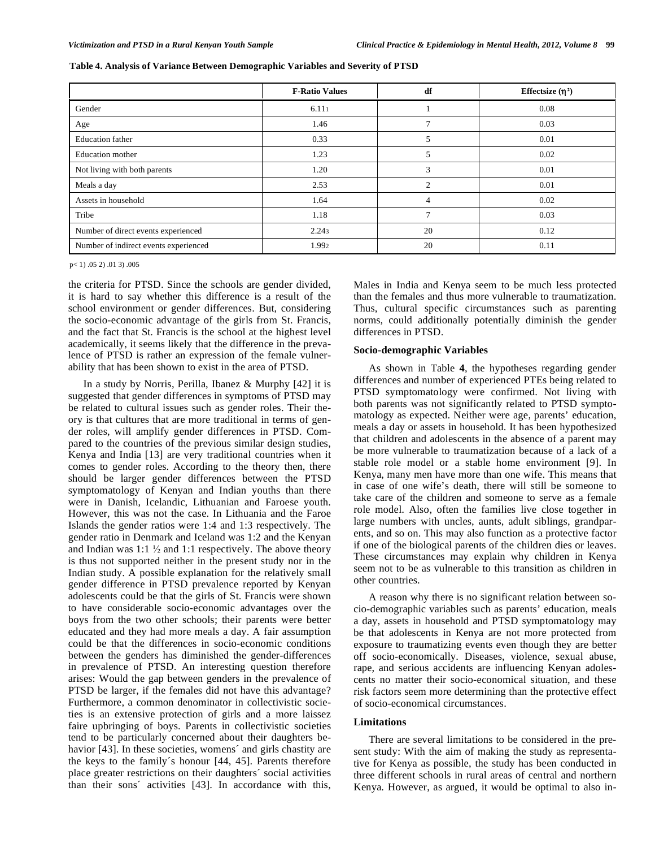|                                       | <b>F-Ratio Values</b> | df             | Effectsize $(n^2)$ |
|---------------------------------------|-----------------------|----------------|--------------------|
| Gender                                | 6.111                 |                | 0.08               |
| Age                                   | 1.46                  |                | 0.03               |
| <b>Education</b> father               | 0.33                  |                | 0.01               |
| Education mother                      | 1.23                  |                | 0.02               |
| Not living with both parents          | 1.20                  | 3              | 0.01               |
| Meals a day                           | 2.53                  | $\mathfrak{D}$ | 0.01               |
| Assets in household                   | 1.64                  | 4              | 0.02               |
| Tribe                                 | 1.18                  | ∍              | 0.03               |
| Number of direct events experienced   | 2.243                 | 20             | 0.12               |
| Number of indirect events experienced | 1.992                 | 20             | 0.11               |

|  |  |  | Table 4. Analysis of Variance Between Demographic Variables and Severity of PTSD |
|--|--|--|----------------------------------------------------------------------------------|
|  |  |  |                                                                                  |

 $p< 1$ ) .05 2) .01 3) .005

the criteria for PTSD. Since the schools are gender divided, it is hard to say whether this difference is a result of the school environment or gender differences. But, considering the socio-economic advantage of the girls from St. Francis, and the fact that St. Francis is the school at the highest level academically, it seems likely that the difference in the prevalence of PTSD is rather an expression of the female vulnerability that has been shown to exist in the area of PTSD.

In a study by Norris, Perilla, Ibanez & Murphy [42] it is suggested that gender differences in symptoms of PTSD may be related to cultural issues such as gender roles. Their theory is that cultures that are more traditional in terms of gender roles, will amplify gender differences in PTSD. Compared to the countries of the previous similar design studies, Kenya and India [13] are very traditional countries when it comes to gender roles. According to the theory then, there should be larger gender differences between the PTSD symptomatology of Kenyan and Indian youths than there were in Danish, Icelandic, Lithuanian and Faroese youth. However, this was not the case. In Lithuania and the Faroe Islands the gender ratios were 1:4 and 1:3 respectively. The gender ratio in Denmark and Iceland was 1:2 and the Kenyan and Indian was 1:1  $\frac{1}{2}$  and 1:1 respectively. The above theory is thus not supported neither in the present study nor in the Indian study. A possible explanation for the relatively small gender difference in PTSD prevalence reported by Kenyan adolescents could be that the girls of St. Francis were shown to have considerable socio-economic advantages over the boys from the two other schools; their parents were better educated and they had more meals a day. A fair assumption could be that the differences in socio-economic conditions between the genders has diminished the gender-differences in prevalence of PTSD. An interesting question therefore arises: Would the gap between genders in the prevalence of PTSD be larger, if the females did not have this advantage? Furthermore, a common denominator in collectivistic societies is an extensive protection of girls and a more laissez faire upbringing of boys. Parents in collectivistic societies tend to be particularly concerned about their daughters behavior [43]. In these societies, womens' and girls chastity are the keys to the family´s honour [44, 45]. Parents therefore place greater restrictions on their daughters´ social activities than their sons´ activities [43]. In accordance with this,

Males in India and Kenya seem to be much less protected than the females and thus more vulnerable to traumatization. Thus, cultural specific circumstances such as parenting norms, could additionally potentially diminish the gender differences in PTSD.

#### **Socio-demographic Variables**

As shown in Table **4**, the hypotheses regarding gender differences and number of experienced PTEs being related to PTSD symptomatology were confirmed. Not living with both parents was not significantly related to PTSD symptomatology as expected. Neither were age, parents' education, meals a day or assets in household. It has been hypothesized that children and adolescents in the absence of a parent may be more vulnerable to traumatization because of a lack of a stable role model or a stable home environment [9]. In Kenya, many men have more than one wife. This means that in case of one wife's death, there will still be someone to take care of the children and someone to serve as a female role model. Also, often the families live close together in large numbers with uncles, aunts, adult siblings, grandparents, and so on. This may also function as a protective factor if one of the biological parents of the children dies or leaves. These circumstances may explain why children in Kenya seem not to be as vulnerable to this transition as children in other countries.

A reason why there is no significant relation between socio-demographic variables such as parents' education, meals a day, assets in household and PTSD symptomatology may be that adolescents in Kenya are not more protected from exposure to traumatizing events even though they are better off socio-economically. Diseases, violence, sexual abuse, rape, and serious accidents are influencing Kenyan adolescents no matter their socio-economical situation, and these risk factors seem more determining than the protective effect of socio-economical circumstances.

# **Limitations**

There are several limitations to be considered in the present study: With the aim of making the study as representative for Kenya as possible, the study has been conducted in three different schools in rural areas of central and northern Kenya. However, as argued, it would be optimal to also in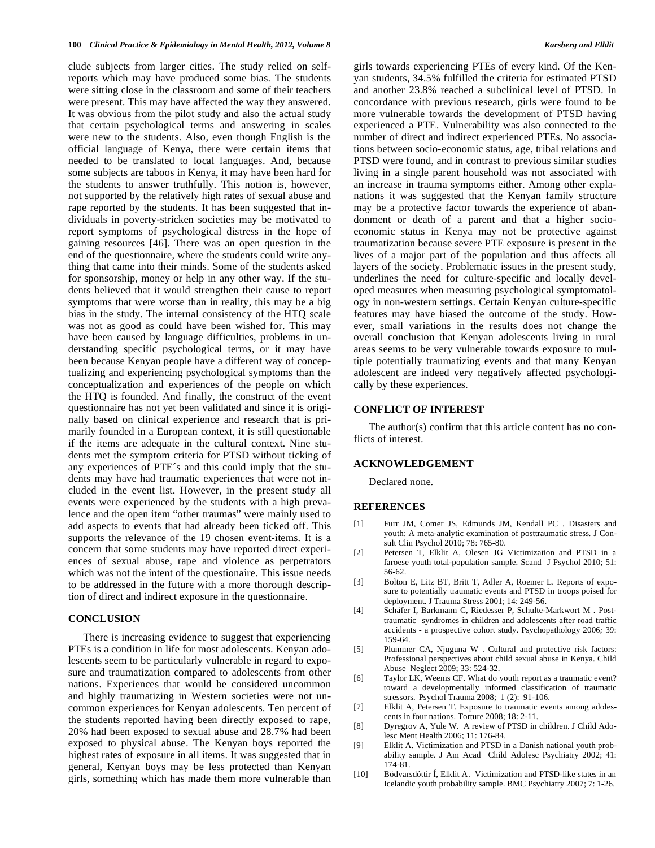clude subjects from larger cities. The study relied on selfreports which may have produced some bias. The students were sitting close in the classroom and some of their teachers were present. This may have affected the way they answered. It was obvious from the pilot study and also the actual study that certain psychological terms and answering in scales were new to the students. Also, even though English is the official language of Kenya, there were certain items that needed to be translated to local languages. And, because some subjects are taboos in Kenya, it may have been hard for the students to answer truthfully. This notion is, however, not supported by the relatively high rates of sexual abuse and rape reported by the students. It has been suggested that individuals in poverty-stricken societies may be motivated to report symptoms of psychological distress in the hope of gaining resources [46]. There was an open question in the end of the questionnaire, where the students could write anything that came into their minds. Some of the students asked for sponsorship, money or help in any other way. If the students believed that it would strengthen their cause to report symptoms that were worse than in reality, this may be a big bias in the study. The internal consistency of the HTQ scale was not as good as could have been wished for. This may have been caused by language difficulties, problems in understanding specific psychological terms, or it may have been because Kenyan people have a different way of conceptualizing and experiencing psychological symptoms than the conceptualization and experiences of the people on which the HTQ is founded. And finally, the construct of the event questionnaire has not yet been validated and since it is originally based on clinical experience and research that is primarily founded in a European context, it is still questionable if the items are adequate in the cultural context. Nine students met the symptom criteria for PTSD without ticking of any experiences of PTE´s and this could imply that the students may have had traumatic experiences that were not included in the event list. However, in the present study all events were experienced by the students with a high prevalence and the open item "other traumas" were mainly used to add aspects to events that had already been ticked off. This supports the relevance of the 19 chosen event-items. It is a concern that some students may have reported direct experiences of sexual abuse, rape and violence as perpetrators which was not the intent of the questionaire. This issue needs to be addressed in the future with a more thorough description of direct and indirect exposure in the questionnaire.

# **CONCLUSION**

There is increasing evidence to suggest that experiencing PTEs is a condition in life for most adolescents. Kenyan adolescents seem to be particularly vulnerable in regard to exposure and traumatization compared to adolescents from other nations. Experiences that would be considered uncommon and highly traumatizing in Western societies were not uncommon experiences for Kenyan adolescents. Ten percent of the students reported having been directly exposed to rape, 20% had been exposed to sexual abuse and 28.7% had been exposed to physical abuse. The Kenyan boys reported the highest rates of exposure in all items. It was suggested that in general, Kenyan boys may be less protected than Kenyan girls, something which has made them more vulnerable than

girls towards experiencing PTEs of every kind. Of the Kenyan students, 34.5% fulfilled the criteria for estimated PTSD and another 23.8% reached a subclinical level of PTSD. In concordance with previous research, girls were found to be more vulnerable towards the development of PTSD having experienced a PTE. Vulnerability was also connected to the number of direct and indirect experienced PTEs. No associations between socio-economic status, age, tribal relations and PTSD were found, and in contrast to previous similar studies living in a single parent household was not associated with an increase in trauma symptoms either. Among other explanations it was suggested that the Kenyan family structure may be a protective factor towards the experience of abandonment or death of a parent and that a higher socioeconomic status in Kenya may not be protective against traumatization because severe PTE exposure is present in the lives of a major part of the population and thus affects all layers of the society. Problematic issues in the present study, underlines the need for culture-specific and locally developed measures when measuring psychological symptomatology in non-western settings. Certain Kenyan culture-specific features may have biased the outcome of the study. However, small variations in the results does not change the overall conclusion that Kenyan adolescents living in rural areas seems to be very vulnerable towards exposure to multiple potentially traumatizing events and that many Kenyan adolescent are indeed very negatively affected psychologically by these experiences.

#### **CONFLICT OF INTEREST**

The author(s) confirm that this article content has no conflicts of interest.

#### **ACKNOWLEDGEMENT**

Declared none.

#### **REFERENCES**

- [1] Furr JM, Comer JS, Edmunds JM, Kendall PC . Disasters and youth: A meta-analytic examination of posttraumatic stress*.* J Consult Clin Psychol 2010; 78: 765-80.
- [2] Petersen T, Elklit A, Olesen JG Victimization and PTSD in a faroese youth total-population sample. Scand J Psychol 2010; 51: 56-62.
- [3] Bolton E, Litz BT, Britt T, Adler A, Roemer L. Reports of exposure to potentially traumatic events and PTSD in troops poised for deployment. J Trauma Stress 2001; 14: 249-56.
- [4] Schäfer I, Barkmann C, Riedesser P, Schulte-Markwort M . Posttraumatic syndromes in children and adolescents after road traffic accidents - a prospective cohort study. Psychopathology 2006*;* 39: 159-64.
- [5] Plummer CA, Njuguna W . Cultural and protective risk factors: Professional perspectives about child sexual abuse in Kenya. Child Abuse Neglect 2009; 33: 524-32.
- [6] Taylor LK, Weems CF. What do youth report as a traumatic event? toward a developmentally informed classification of traumatic stressors*.* Psychol Trauma 2008; 1 (2): 91-106.
- [7] Elklit A, Petersen T. Exposure to traumatic events among adolescents in four nations. Torture 2008; 18: 2-11.
- [8] Dyregrov A, Yule W. A review of PTSD in children. J Child Adolesc Ment Health 2006; 11: 176-84.
- [9] Elklit A. Victimization and PTSD in a Danish national youth probability sample. J Am Acad Child Adolesc Psychiatry 2002; 41: 174-81.
- [10] Bödvarsdóttir Í, Elklit A. Victimization and PTSD-like states in an Icelandic youth probability sample. BMC Psychiatry 2007; 7: 1-26.